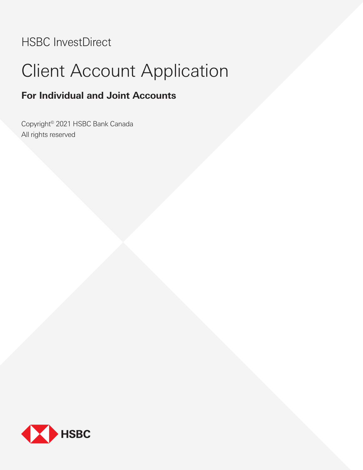# HSBC InvestDirect

# Client Account Application

# **For Individual and Joint Accounts**

Copyright© 2021 HSBC Bank Canada All rights reserved

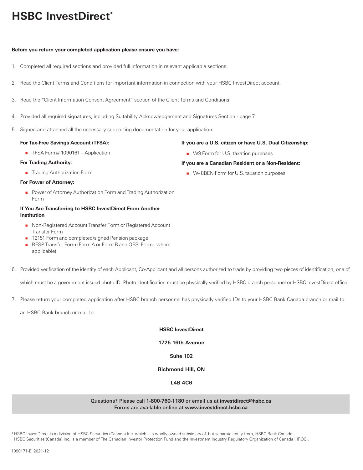# **HSBC InvestDirect\***

# **Before you return your completed application please ensure you have:**

- 1. Completed all required sections and provided full information in relevant applicable sections.
- 2. Read the Client Terms and Conditions for important information in connection with your HSBC InvestDirect account.
- 3. Read the "Client Information Consent Agreement" section of the Client Terms and Conditions.
- 4. Provided all required signatures, including Suitability Acknowledgement and Signatures Section page 7.
- 5. Signed and attached all the necessary supporting documentation for your application:

# **For Tax-Free Savings Account (TFSA):**

■ TFSA Form# 1090161 – Application

# **For Trading Authority:**

**Trading Authorization Form** 

# **For Power of Attorney:**

**Power of Attorney Authorization Form and Trading Authorization** Form

# **If You Are Transferring to HSBC InvestDirect From Another Institution**

- Non-Registered Account Transfer Form or Registered Account Transfer Form
- T2151 Form and completed/signed Pension package
- RESP Transfer Form (Form A or Form B and QESI Form where applicable)
- 6. Provided verification of the identity of each Applicant, Co-Applicant and all persons authorized to trade by providing two pieces of identification, one of

which must be a government issued photo ID. Photo identification must be physically verified by HSBC branch personnel or HSBC InvestDirect office.

7. Please return your completed application after HSBC branch personnel has physically verified IDs to your HSBC Bank Canada branch or mail to

an HSBC Bank branch or mail to:

# **HSBC InvestDirect**

**1725 16th Avenue**

# **Suite 102**

# **Richmond Hill, ON**

# **L4B 4C6**

# Questions? Please call **1-800-760-1180** or email us at **investdirect@hsbc.ca** Forms are available online at **www.investdirect.hsbc.ca**

\*HSBC InvestDirect is a division of HSBC Securities (Canada) Inc. which is a wholly owned subsidiary of, but separate entity from, HSBC Bank Canada. HSBC Securities (Canada) Inc. is a member of The Canadian Investor Protection Fund and the Investment Industry Regulatory Organization of Canada (IIROC).

# 1090171-E\_2021-12

# **If you are a U.S. citizen or have U.S. Dual Citizenship:**

■ W9 Form for U.S. taxation purposes

# **If you are a Canadian Resident or a Non-Resident:**

**W**-8BEN Form for U.S. taxation purposes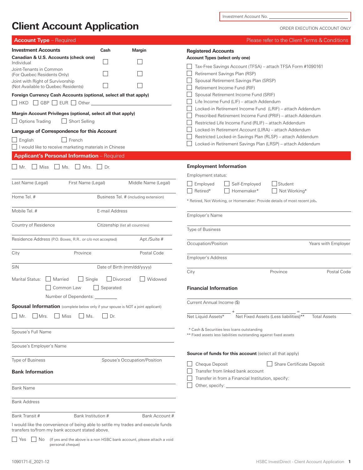**Client Account Application**

Investment Account No.

ORDER EXECUTION ACCOUNT ONLY

| <b>Account Type</b> - Required                                                                                                      |                                  |                                                                        | Please refer to the Client Terms & Conditions                                                                            |
|-------------------------------------------------------------------------------------------------------------------------------------|----------------------------------|------------------------------------------------------------------------|--------------------------------------------------------------------------------------------------------------------------|
| <b>Investment Accounts</b>                                                                                                          | Cash                             | <b>Margin</b>                                                          | <b>Registered Accounts</b>                                                                                               |
| Canadian & U.S. Accounts (check one)<br>Individual                                                                                  | $\mathbf{L}$                     |                                                                        | Account Types (select only one)                                                                                          |
| Joint-Tenants in Common                                                                                                             |                                  |                                                                        | Tax-Free Savings Account (TFSA) – attach TFSA Form #1090161                                                              |
| (For Quebec Residents Only)<br>Joint with Right of Survivorship                                                                     |                                  |                                                                        | Retirement Savings Plan (RSP)<br>Spousal Retirement Savings Plan (SRSP)                                                  |
| (Not Available to Quebec Residents)                                                                                                 |                                  |                                                                        | Retirement Income Fund (RIF)                                                                                             |
| Foreign Currency Cash Accounts (optional, select all that apply)                                                                    |                                  |                                                                        | Spousal Retirement Income Fund (SRIF)                                                                                    |
| $\Box$ HKD $\Box$ GBP $\Box$ EUR $\Box$ Other $\Box$                                                                                |                                  |                                                                        | Life Income Fund (LIF) - attach Addendum                                                                                 |
| Margin Account Privileges (optional, select all that apply)                                                                         |                                  |                                                                        | Locked-in Retirement Income Fund (LRIF) – attach Addendum<br>Prescribed Retirement Income Fund (PRIF) – attach Addendum  |
| $\Box$ Options Trading<br>Short Selling                                                                                             |                                  |                                                                        | Restricted Life Income Fund (RLIF) - attach Addendum                                                                     |
| Language of Correspondence for this Account                                                                                         |                                  |                                                                        | Locked-In Retirement Account (LIRA) - attach Addendum                                                                    |
| $\Box$ English<br>│ French                                                                                                          |                                  |                                                                        | Restricted Locked-in Savings Plan (RLSP) - attach Addendum<br>Locked-in Retirement Savings Plan (LRSP) - attach Addendum |
| I would like to receive marketing materials in Chinese                                                                              |                                  |                                                                        |                                                                                                                          |
| Applicant's Personal Information - Required                                                                                         |                                  |                                                                        |                                                                                                                          |
| Miss<br>$\Box$ Ms.<br>    Mrs.<br>Mr.                                                                                               | Dr.                              |                                                                        | <b>Employment Information</b>                                                                                            |
|                                                                                                                                     |                                  |                                                                        | Employment status:                                                                                                       |
| Last Name (Legal)<br>First Name (Legal)                                                                                             |                                  | Middle Name (Legal)                                                    | Employed<br>Self-Employed<br>Student<br>Retired*<br>Homemaker*                                                           |
| Home Tel. #                                                                                                                         |                                  | Business Tel. # (including extension)                                  | Not Working*                                                                                                             |
|                                                                                                                                     |                                  |                                                                        | * Retired, Not Working, or Homemaker: Provide details of most recent job.                                                |
| Mobile Tel. #                                                                                                                       | E-mail Address                   |                                                                        | Employer's Name                                                                                                          |
| Country of Residence                                                                                                                | Citizenship (list all countries) |                                                                        |                                                                                                                          |
|                                                                                                                                     |                                  |                                                                        | Type of Business                                                                                                         |
| Residence Address (P.O. Boxes, R.R., or c/o not accepted)                                                                           |                                  | Apt./Suite #                                                           | Years with Employer<br>Occupation/Position                                                                               |
| City<br>Province                                                                                                                    |                                  | Postal Code                                                            |                                                                                                                          |
|                                                                                                                                     |                                  |                                                                        | Employer's Address                                                                                                       |
| <b>SIN</b>                                                                                                                          | Date of Birth (mm/dd/yyyy)       |                                                                        | City<br>Province<br>Postal Code                                                                                          |
| Marital Status:<br>    Married<br>Single                                                                                            | JDivorced                        | Widowed                                                                |                                                                                                                          |
| Common Law                                                                                                                          | Separated                        |                                                                        | <b>Financial Information</b>                                                                                             |
| Number of Dependents:                                                                                                               |                                  |                                                                        |                                                                                                                          |
| <b>Spousal Information</b> (complete below only if your spouse is NOT a joint applicant)                                            |                                  |                                                                        | Current Annual Income (\$)                                                                                               |
| Mrs.<br>    Miss<br>$\vert$ $\vert$ Ms.<br>IMr.                                                                                     | Dr.                              |                                                                        | Net Fixed Assets (Less liabilities)**<br>Net Liquid Assets*<br><b>Total Assets</b>                                       |
|                                                                                                                                     |                                  |                                                                        | * Cash & Securities less loans outstanding                                                                               |
| Spouse's Full Name                                                                                                                  |                                  |                                                                        | ** Fixed assets less liabilities outstanding against fixed assets                                                        |
| Spouse's Employer's Name                                                                                                            |                                  |                                                                        |                                                                                                                          |
|                                                                                                                                     |                                  |                                                                        | <b>Source of funds for this account</b> (select all that apply)                                                          |
| <b>Type of Business</b>                                                                                                             |                                  | Spouse's Occupation/Position                                           | Cheque Deposit<br>Share Certificate Deposit                                                                              |
| <b>Bank Information</b>                                                                                                             |                                  |                                                                        | Transfer from linked bank account                                                                                        |
|                                                                                                                                     |                                  |                                                                        | Transfer in from a Financial Institution, specify:                                                                       |
| <b>Bank Name</b>                                                                                                                    |                                  |                                                                        |                                                                                                                          |
| <b>Bank Address</b>                                                                                                                 |                                  |                                                                        |                                                                                                                          |
| Bank Transit #<br>Bank Institution #                                                                                                |                                  | Bank Account #                                                         |                                                                                                                          |
| I would like the convenience of being able to settle my trades and execute funds<br>transfers to/from my bank account stated above. |                                  |                                                                        |                                                                                                                          |
| No<br>Yes<br>personal cheque)                                                                                                       |                                  | (If yes and the above is a non HSBC bank account, please attach a void |                                                                                                                          |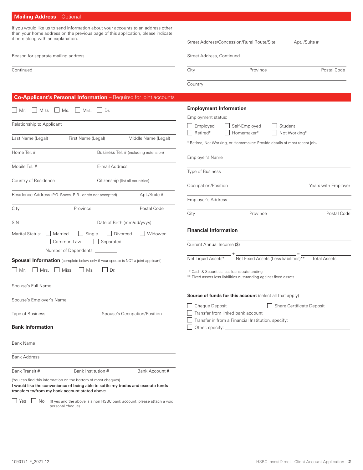# **Mailing Address** – Optional

If you would like us to send information about your accounts to an address other than your home address on the previous page of this application, please indicate it here along with an explanation.

| It Here along with an explaination.                                                                                                                                                                  | Street Address/Concession/Rural Route/Site<br>Apt. /Suite #                                                     |
|------------------------------------------------------------------------------------------------------------------------------------------------------------------------------------------------------|-----------------------------------------------------------------------------------------------------------------|
| Reason for separate mailing address                                                                                                                                                                  | Street Address, Continued                                                                                       |
| Continued                                                                                                                                                                                            | Postal Code<br>City<br>Province                                                                                 |
|                                                                                                                                                                                                      | Country                                                                                                         |
| Co-Applicant's Personal Information - Required for joint accounts                                                                                                                                    |                                                                                                                 |
| Mrs. Dr.<br>$\blacksquare$ Mr.<br>Miss<br>$\Box$ Ms.                                                                                                                                                 | <b>Employment Information</b><br>Employment status:                                                             |
| Relationship to Applicant                                                                                                                                                                            | Employed<br>Self-Employed<br>Student<br>Retired*<br>Homemaker*<br>Not Working*                                  |
| First Name (Legal)<br>Last Name (Legal)<br>Middle Name (Legal)                                                                                                                                       | * Retired, Not Working, or Homemaker: Provide details of most recent job.                                       |
| Home Tel. #<br>Business Tel. # (including extension)                                                                                                                                                 | Employer's Name                                                                                                 |
| E-mail Address<br>Mobile Tel. #                                                                                                                                                                      | Type of Business                                                                                                |
| Country of Residence<br>Citizenship (list all countries)                                                                                                                                             | Occupation/Position<br>Years with Employer                                                                      |
| Residence Address (P.O. Boxes, R.R., or c/o not accepted)<br>Apt./Suite #                                                                                                                            | <b>Employer's Address</b>                                                                                       |
| City<br>Province<br>Postal Code                                                                                                                                                                      | Postal Code<br>City<br>Province                                                                                 |
| Date of Birth (mm/dd/yyyy)<br>SIN                                                                                                                                                                    |                                                                                                                 |
| Marital Status:<br>$\Box$ Single<br>  Divorced<br><b>Widowed</b><br>    Married<br>Common Law<br>Separated                                                                                           | <b>Financial Information</b><br>Current Annual Income (\$)                                                      |
| Number of Dependents:                                                                                                                                                                                |                                                                                                                 |
| Spousal Information (complete below only if your spouse is NOT a joint applicant)                                                                                                                    | Net Fixed Assets (Less liabilities)**<br>Net Liquid Assets*<br><b>Total Assets</b>                              |
| $\blacksquare$ Mr.<br>Mrs.<br>    Miss<br>$\vert$   Ms.<br> Dr.                                                                                                                                      | * Cash & Securities less loans outstanding<br>** Fixed assets less liabilities outstanding against fixed assets |
| Spouse's Full Name                                                                                                                                                                                   |                                                                                                                 |
| Spouse's Employer's Name                                                                                                                                                                             | Source of funds for this account (select all that apply)                                                        |
| Type of Business<br>Spouse's Occupation/Position                                                                                                                                                     | Cheque Deposit<br>Share Certificate Deposit<br>Transfer from linked bank account                                |
| <b>Bank Information</b>                                                                                                                                                                              | Transfer in from a Financial Institution, specify:                                                              |
| <b>Bank Name</b>                                                                                                                                                                                     |                                                                                                                 |
| <b>Bank Address</b>                                                                                                                                                                                  |                                                                                                                 |
| Bank Transit #<br>Bank Institution #<br>Bank Account #                                                                                                                                               |                                                                                                                 |
| (You can find this information on the bottom of most cheques)<br>I would like the convenience of being able to settle my trades and execute funds<br>transfers to/from my bank account stated above. |                                                                                                                 |

Yes  $\Box$  No (If yes and the above is a non HSBC bank account, please attach a void personal cheque)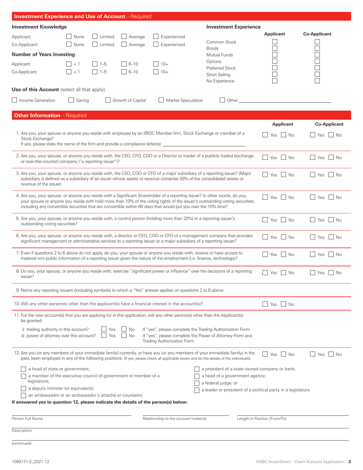| <b>Investment Experience and Use of Account</b> - Required                                                                                             |                                        |                       |                            |                                                                                                                 |                                                                                                                                                                                                                                                                              |                                                                                                                |                                 |
|--------------------------------------------------------------------------------------------------------------------------------------------------------|----------------------------------------|-----------------------|----------------------------|-----------------------------------------------------------------------------------------------------------------|------------------------------------------------------------------------------------------------------------------------------------------------------------------------------------------------------------------------------------------------------------------------------|----------------------------------------------------------------------------------------------------------------|---------------------------------|
| <b>Investment Knowledge</b>                                                                                                                            |                                        |                       |                            |                                                                                                                 | <b>Investment Experience</b>                                                                                                                                                                                                                                                 |                                                                                                                |                                 |
| Applicant:<br>Co-Applicant:                                                                                                                            | None<br>None                           | Limited<br>  Limited  | $\Box$ Average<br>Average  | Experienced<br>Experienced                                                                                      | Common Stock<br><b>Bonds</b>                                                                                                                                                                                                                                                 | <b>Applicant</b><br>$\mathcal{L}_{\mathcal{A}}$                                                                | <b>Co-Applicant</b><br>$\sqcup$ |
| <b>Number of Years Investing</b>                                                                                                                       |                                        |                       |                            |                                                                                                                 | Mutual Funds                                                                                                                                                                                                                                                                 |                                                                                                                |                                 |
| Applicant:<br>Co-Applicant:                                                                                                                            | $\vert \vert$ < 1<br>$\vert \vert$ < 1 | $\Box$ 1-5<br>$1 - 5$ | $\Box$ 6-10<br>$\Box$ 6-10 | $10+$<br>$10+$<br>$\Box$                                                                                        | Options<br><b>Preferred Stock</b><br><b>Short Selling</b><br>No Experience                                                                                                                                                                                                   |                                                                                                                |                                 |
| <b>Use of this Account</b> (select all that apply)                                                                                                     |                                        |                       |                            |                                                                                                                 |                                                                                                                                                                                                                                                                              |                                                                                                                |                                 |
| Income Generation                                                                                                                                      | $\Box$ Saving                          |                       | Growth of Capital          | Market Speculation                                                                                              |                                                                                                                                                                                                                                                                              | Other than the contract of the contract of the contract of the contract of the contract of the contract of the |                                 |
| <b>Other Information</b> - Required                                                                                                                    |                                        |                       |                            |                                                                                                                 |                                                                                                                                                                                                                                                                              |                                                                                                                |                                 |
| Stock Exchange?                                                                                                                                        |                                        |                       |                            |                                                                                                                 | 1. Are you, your spouse or anyone you reside with employed by an IIROC Member firm, Stock Exchange or member of a<br>If yes, please state the name of the firm and provide a compliance letter(s): ________________________________                                          | <b>Applicant</b><br>Yes     No                                                                                 | <b>Co-Applicant</b><br>Yes No   |
| or over-the-counter) company ("a reporting issuer")?                                                                                                   |                                        |                       |                            |                                                                                                                 | 2. Are you, your spouse, or anyone you reside with, the CEO, CFO, COO or a Director or insider of a publicly traded (exchange                                                                                                                                                | No Res No                                                                                                      | $\Box$ Yes<br>$\vert$ No        |
| revenue of the issuer)                                                                                                                                 |                                        |                       |                            |                                                                                                                 | 3. Are you, your spouse, or anyone you reside with, the CEO, COO or CFO of a major subsidiary of a reporting issuer? (Major<br>subsidiary is defined as a subsidiary of an issuer whose assets or revenue comprise 30% of the consolidated assets or                         | Yes     No                                                                                                     | l l Yes<br>$\vert$ No           |
|                                                                                                                                                        |                                        |                       |                            | including any convertible securities that are convertible within 60 days that would put you over the 10% limit? | 4. Are you, your spouse, or anyone you reside with a Significant Shareholder of a reporting issuer? In other words, do you,<br>your spouse or anyone you reside with hold more than 10% of the voting rights of the issuer's outstanding voting securities,                  | $\Box$ Yes $\Box$ No                                                                                           | $\Box$ Yes $\Box$ No            |
| 5. Are you, your spouse, or anyone you reside with, a control person (holding more than 20%) in a reporting issuer's<br>outstanding voting securities? |                                        |                       |                            |                                                                                                                 |                                                                                                                                                                                                                                                                              | Yes     No                                                                                                     | $\Box$ Yes<br>N <sub>0</sub>    |
|                                                                                                                                                        |                                        |                       |                            |                                                                                                                 | 6. Are you, your spouse, or anyone you reside with, a director or CEO, COO or CFO of a management company that provides<br>significant management or administrative services to a reporting issuer or a major subsidiary of a reporting issuer?                              | Yes   No                                                                                                       | $ $ Yes<br>$\vert$ $\vert$ No   |
|                                                                                                                                                        |                                        |                       |                            |                                                                                                                 | 7. Even if questions 2 to 6 above do not apply, do you, your spouse or anyone you reside with, receive or have access to<br>material non-public information of a reporting issuer given the nature of the employment (i.e. finance, technology)?                             | Yes No                                                                                                         | $\Box$ Yes $\Box$ No            |
| issuer?                                                                                                                                                |                                        |                       |                            |                                                                                                                 | 8. Do you, your spouse, or anyone you reside with, exercise "significant power or influence" over the decisions of a reporting                                                                                                                                               | $\Box$ Yes $\Box$ No                                                                                           | $\Box$ Yes $\Box$ No            |
| 9. Name any reporting issuers (including symbols) to which a "Yes" answer applies on questions 2 to 8 above:                                           |                                        |                       |                            |                                                                                                                 |                                                                                                                                                                                                                                                                              |                                                                                                                |                                 |
| 10. Will any other person(s) other than the applicant(s) have a financial interest in the account(s)?                                                  |                                        |                       |                            |                                                                                                                 |                                                                                                                                                                                                                                                                              | Yes<br>  No                                                                                                    |                                 |
| be granted:<br>i) trading authority in this account?                                                                                                   |                                        | Yes                   | $\Box$ No                  |                                                                                                                 | 11. For the new account(s) that you are applying for in this application, will any other person(s) other than the Applicant(s)<br>If "yes", please complete the Trading Authorization Form                                                                                   |                                                                                                                |                                 |
| ii) power of attorney over this account?                                                                                                               |                                        | Yes                   | <b>No</b>                  | Trading Authorization Form                                                                                      | If "yes", please complete the Power of Attorney Form and                                                                                                                                                                                                                     |                                                                                                                |                                 |
|                                                                                                                                                        |                                        |                       |                            |                                                                                                                 | 12. Are you (or any members of your immediate family) currently, or have you (or any members of your immediate family) in the<br>past, been employed in any of the following positions: (If yes, please check all applicable boxes and list the details of the individuals): | Yes<br>  No                                                                                                    | l l Yes<br>l No                 |
| a head of state or government;<br>a member of the executive council of government or member of a<br>legislature;<br>a deputy minister (or equivalent); |                                        |                       |                            |                                                                                                                 | a president of a state owned company or bank;<br>a head of a government agency;<br>a federal judge; or                                                                                                                                                                       |                                                                                                                |                                 |
| an ambassador or an ambassador's attaché or counselor;<br>If answered yes to question 12, please indicate the details of the person(s) below:          |                                        |                       |                            |                                                                                                                 | a leader or president of a political party in a legislature                                                                                                                                                                                                                  |                                                                                                                |                                 |
| Person Full Name                                                                                                                                       |                                        |                       |                            | Relationship to the account holder(s)                                                                           |                                                                                                                                                                                                                                                                              | Length in Position (From/To)                                                                                   |                                 |
| Description                                                                                                                                            |                                        |                       |                            |                                                                                                                 |                                                                                                                                                                                                                                                                              |                                                                                                                |                                 |
| (continued)                                                                                                                                            |                                        |                       |                            |                                                                                                                 |                                                                                                                                                                                                                                                                              |                                                                                                                |                                 |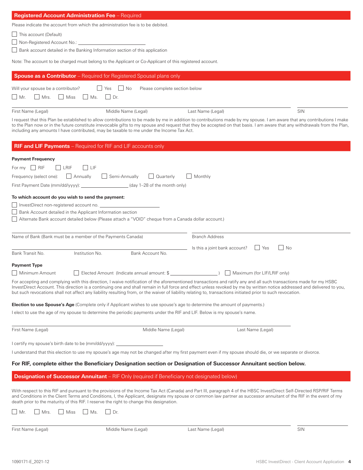| Registered Account Administration Fee - Required                                                                                                                                                                               |                                                                                                     |                                                                                                                                                                                                                                                                                                                                                                                                                                                                                                                 |     |
|--------------------------------------------------------------------------------------------------------------------------------------------------------------------------------------------------------------------------------|-----------------------------------------------------------------------------------------------------|-----------------------------------------------------------------------------------------------------------------------------------------------------------------------------------------------------------------------------------------------------------------------------------------------------------------------------------------------------------------------------------------------------------------------------------------------------------------------------------------------------------------|-----|
| Please indicate the account from which the administration fee is to be debited.                                                                                                                                                |                                                                                                     |                                                                                                                                                                                                                                                                                                                                                                                                                                                                                                                 |     |
| This account (Default)<br>$\mathbf{I}$                                                                                                                                                                                         |                                                                                                     |                                                                                                                                                                                                                                                                                                                                                                                                                                                                                                                 |     |
|                                                                                                                                                                                                                                |                                                                                                     |                                                                                                                                                                                                                                                                                                                                                                                                                                                                                                                 |     |
| Bank account detailed in the Banking Information section of this application                                                                                                                                                   |                                                                                                     |                                                                                                                                                                                                                                                                                                                                                                                                                                                                                                                 |     |
| Note: The account to be charged must belong to the Applicant or Co-Applicant of this registered account.                                                                                                                       |                                                                                                     |                                                                                                                                                                                                                                                                                                                                                                                                                                                                                                                 |     |
| <b>Spouse as a Contributor</b> - Required for Registered Spousal plans only                                                                                                                                                    |                                                                                                     |                                                                                                                                                                                                                                                                                                                                                                                                                                                                                                                 |     |
| Will your spouse be a contributor?                                                                                                                                                                                             | $\blacksquare$ No<br>Yes<br>Please complete section below                                           |                                                                                                                                                                                                                                                                                                                                                                                                                                                                                                                 |     |
| $\vert$   Mrs.<br>$\Box$ Miss<br>$\vert$ Ms.<br>    Mr.                                                                                                                                                                        | $\vert \vert$ Dr.                                                                                   |                                                                                                                                                                                                                                                                                                                                                                                                                                                                                                                 |     |
|                                                                                                                                                                                                                                |                                                                                                     |                                                                                                                                                                                                                                                                                                                                                                                                                                                                                                                 |     |
| First Name (Legal)                                                                                                                                                                                                             | Middle Name (Legal)                                                                                 | Last Name (Legal)                                                                                                                                                                                                                                                                                                                                                                                                                                                                                               | SIN |
| including any amounts I have contributed, may be taxable to me under the Income Tax Act.                                                                                                                                       |                                                                                                     | I request that this Plan be established to allow contributions to be made by me in addition to contributions made by my spouse. I am aware that any contributions I make<br>to the Plan now or in the future constitute irrevocable gifts to my spouse and request that they be accepted on that basis. I am aware that any withdrawals from the Plan,                                                                                                                                                          |     |
| <b>RIF and LIF Payments</b> - Required for RIF and LIF accounts only                                                                                                                                                           |                                                                                                     |                                                                                                                                                                                                                                                                                                                                                                                                                                                                                                                 |     |
| <b>Payment Frequency</b>                                                                                                                                                                                                       |                                                                                                     |                                                                                                                                                                                                                                                                                                                                                                                                                                                                                                                 |     |
| For $my$ $\Box$ RIF<br>$ $ LRIF<br> L                                                                                                                                                                                          |                                                                                                     |                                                                                                                                                                                                                                                                                                                                                                                                                                                                                                                 |     |
| Annually<br>Frequency (select one):                                                                                                                                                                                            | Semi-Annually<br>    Quarterly                                                                      | Monthly                                                                                                                                                                                                                                                                                                                                                                                                                                                                                                         |     |
| First Payment Date (mm/dd/yyyy): _                                                                                                                                                                                             | (day 1-28 of the month only)                                                                        |                                                                                                                                                                                                                                                                                                                                                                                                                                                                                                                 |     |
|                                                                                                                                                                                                                                |                                                                                                     |                                                                                                                                                                                                                                                                                                                                                                                                                                                                                                                 |     |
| To which account do you wish to send the payment:                                                                                                                                                                              |                                                                                                     |                                                                                                                                                                                                                                                                                                                                                                                                                                                                                                                 |     |
| Superintent International Account no. 2012 19:00 International International International International International International International International International International International International Inter |                                                                                                     |                                                                                                                                                                                                                                                                                                                                                                                                                                                                                                                 |     |
| Bank Account detailed in the Applicant Information section                                                                                                                                                                     | Alternate Bank account detailed below (Please attach a "VOID" cheque from a Canada dollar account.) |                                                                                                                                                                                                                                                                                                                                                                                                                                                                                                                 |     |
|                                                                                                                                                                                                                                |                                                                                                     |                                                                                                                                                                                                                                                                                                                                                                                                                                                                                                                 |     |
| Name of Bank (Bank must be a member of the Payments Canada)                                                                                                                                                                    |                                                                                                     | <b>Branch Address</b>                                                                                                                                                                                                                                                                                                                                                                                                                                                                                           |     |
|                                                                                                                                                                                                                                |                                                                                                     |                                                                                                                                                                                                                                                                                                                                                                                                                                                                                                                 |     |
| Bank Transit No.<br>Institution No.                                                                                                                                                                                            | Bank Account No.                                                                                    | $\overline{\phantom{a}}$   No<br>Is this a joint bank account?<br>  Yes                                                                                                                                                                                                                                                                                                                                                                                                                                         |     |
|                                                                                                                                                                                                                                |                                                                                                     |                                                                                                                                                                                                                                                                                                                                                                                                                                                                                                                 |     |
| <b>Payment Type</b>                                                                                                                                                                                                            |                                                                                                     |                                                                                                                                                                                                                                                                                                                                                                                                                                                                                                                 |     |
| □ Minimum Amount                                                                                                                                                                                                               | Elected Amount (Indicate annual amount: \$                                                          | □ Maximum (for LIF/LRIF only)                                                                                                                                                                                                                                                                                                                                                                                                                                                                                   |     |
|                                                                                                                                                                                                                                |                                                                                                     | For accepting and complying with this direction, I waive notification of the aforementioned transactions and ratify any and all such transactions made for my HSBC<br>InvestDirect Account. This direction is a continuing one and shall remain in full force and effect unless revoked by me by written notice addressed and delivered to you,<br>but such revocations shall not affect any liability resulting from, or the waiver of liability relating to, transactions initiated prior to such revocation. |     |
| <b>Election to use Spouse's Age</b> (Complete only if Applicant wishes to use spouse's age to determine the amount of payments.)                                                                                               |                                                                                                     |                                                                                                                                                                                                                                                                                                                                                                                                                                                                                                                 |     |
| I elect to use the age of my spouse to determine the periodic payments under the RIF and LIF. Below is my spouse's name.                                                                                                       |                                                                                                     |                                                                                                                                                                                                                                                                                                                                                                                                                                                                                                                 |     |
|                                                                                                                                                                                                                                |                                                                                                     |                                                                                                                                                                                                                                                                                                                                                                                                                                                                                                                 |     |
| First Name (Legal)                                                                                                                                                                                                             | Middle Name (Legal)                                                                                 | Last Name (Legal)                                                                                                                                                                                                                                                                                                                                                                                                                                                                                               |     |
| I certify my spouse's birth date to be (mm/dd/yyyy): ___________________________                                                                                                                                               |                                                                                                     |                                                                                                                                                                                                                                                                                                                                                                                                                                                                                                                 |     |
|                                                                                                                                                                                                                                |                                                                                                     | I understand that this election to use my spouse's age may not be changed after my first payment even if my spouse should die, or we separate or divorce.                                                                                                                                                                                                                                                                                                                                                       |     |
|                                                                                                                                                                                                                                |                                                                                                     | For RIF, complete either the Beneficiary Designation section or Designation of Successor Annuitant section below.                                                                                                                                                                                                                                                                                                                                                                                               |     |
| <b>Designation of Successor Annuitant</b> - RIF Only (required if Beneficiary not designated below)                                                                                                                            |                                                                                                     |                                                                                                                                                                                                                                                                                                                                                                                                                                                                                                                 |     |
|                                                                                                                                                                                                                                |                                                                                                     |                                                                                                                                                                                                                                                                                                                                                                                                                                                                                                                 |     |
| death prior to the maturity of this RIF. I reserve the right to change this designation.                                                                                                                                       |                                                                                                     | With respect to this RIF and pursuant to the provisions of the Income Tax Act (Canada) and Part III, paragraph 4 of the HBSC InvestDirect Self-Directed RSP/RIF Terms<br>and Conditions in the Client Terms and Conditions, I, the Applicant, designate my spouse or common law partner as successor annuitant of the RIF in the event of my                                                                                                                                                                    |     |
| $\vert$ Mr.<br>Miss<br>Ms.<br>Mrs.                                                                                                                                                                                             | $\vert$ $\vert$ Dr.                                                                                 |                                                                                                                                                                                                                                                                                                                                                                                                                                                                                                                 |     |
|                                                                                                                                                                                                                                |                                                                                                     |                                                                                                                                                                                                                                                                                                                                                                                                                                                                                                                 |     |
| First Name (Legal)                                                                                                                                                                                                             | Middle Name (Legal)                                                                                 | Last Name (Legal)                                                                                                                                                                                                                                                                                                                                                                                                                                                                                               | SIN |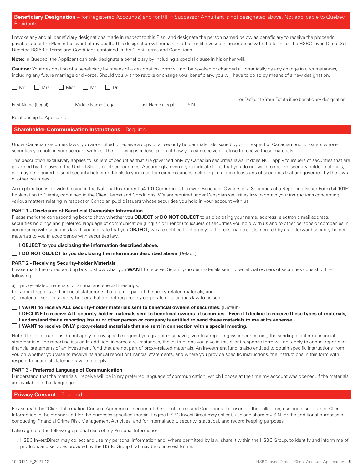|            | <b>Beneficiary Designation</b> – for Registered Account(s) and for RIF if Successor Annuitant is not designated above. Not applicable to Quebec |  |
|------------|-------------------------------------------------------------------------------------------------------------------------------------------------|--|
| Residents. |                                                                                                                                                 |  |

I revoke any and all beneficiary designations made in respect to this Plan, and designate the person named below as beneficiary to receive the proceeds payable under the Plan in the event of my death. This designation will remain in effect until revoked in accordance with the terms of the HSBC InvestDirect Self-Directed RSP/RIF Terms and Conditions contained in the Client Terms and Conditions.

**Note:** In Quebec, the Applicant can only designate a beneficiary by including a special clause in his or her will.

**Caution:** Your designation of a beneficiary by means of a designation form will not be revoked or changed automatically by any change in circumstances, including any future marriage or divorce. Should you wish to revoke or change your beneficiary, you will have to do so by means of a new designation.

| $\Box$ Mr.                 | Mrs. Miss Ms. Dr.   |                   |            |                                                         |
|----------------------------|---------------------|-------------------|------------|---------------------------------------------------------|
| First Name (Legal)         | Middle Name (Legal) | Last Name (Legal) | <b>SIN</b> | or Default to Your Estate if no beneficiary designation |
| Relationship to Applicant: |                     |                   |            |                                                         |

# **Shareholder Communication Instructions** – Required

Under Canadian securities laws, you are entitled to receive a copy of all security holder materials issued by or in respect of Canadian public issuers whose securities you hold in your account with us. The following is a description of how you can receive or refuse to receive these materials.

This description exclusively applies to issuers of securities that are governed only by Canadian securities laws. It does NOT apply to issuers of securities that are governed by the laws of the United States or other countries. Accordingly, even if you indicate to us that you do not wish to receive security holder materials, we may be required to send security holder materials to you in certain circumstances including in relation to issuers of securities that are governed by the laws of other countries.

An explanation is provided to you in the National Instrument 54-101 Communication with Beneficial Owners of a Securities of a Reporting Issuer Form 54-101F1 Explanation to Clients, contained in the Client Terms and Conditions. We are required under Canadian securities law to obtain your instructions concerning various matters relating in respect of Canadian public issuers whose securities you hold in your account with us.

### **PART 1 - Disclosure of Beneficial Ownership Information**

Please mark the corresponding box to show whether you **OBJECT** or **DO NOT OBJECT** to us disclosing your name, address, electronic mail address, securities holdings and preferred language of communication (English or French) to issuers of securities you hold with us and to other persons or companies in accordance with securities law. If you indicate that you **OBJECT**, we are entitled to charge you the reasonable costs incurred by us to forward security-holder materials to you in accordance with securities law.

**I OBJECT to you disclosing the information described above.** 

**I DO NOT OBJECT to you disclosing the information described above (Default)** 

#### **PART 2 - Receiving Security-holder Materials**

Please mark the corresponding box to show what you **WANT** to receive. Security-holder materials sent to beneficial owners of securities consist of the following:

a) proxy-related materials for annual and special meetings;

b) annual reports and financial statements that are not part of the proxy-related materials; and

c) materials sent to security-holders that are not required by corporate or securities law to be sent.

**I WANT to receive ALL security-holder materials sent to beneficial owners of securities.** (Default)

 **I DECLINE to receive ALL security-holder materials sent to beneficial owners of securities. (Even if I decline to receive these types of materials, I understand that a reporting issuer or other person or company is entitled to send these materials to me at its expense.)** 

**I WANT to receive ONLY proxy-related materials that are sent in connection with a special meeting.**

Note: These instructions do not apply to any specific request you give or may have given to a reporting issuer concerning the sending of interim financial statements of the reporting issuer. In addition, in some circumstances, the instructions you give in this client response form will not apply to annual reports or financial statements of an investment fund that are not part of proxy-related materials. An investment fund is also entitled to obtain specific instructions from you on whether you wish to receive its annual report or financial statements, and where you provide specific instructions, the instructions in this form with respect to financial statements will not apply.

#### **PART 3 - Preferred Language of Communication**

I understand that the materials I receive will be in my preferred language of communication, which I chose at the time my account was opened, if the materials are available in that language.

# **Privacy Consent** – Required

Please read the "Client Information Consent Agreement" section of the Client Terms and Conditions. I consent to the collection, use and disclosure of Client Information in the manner and for the purposes specified therein. I agree HSBC InvestDirect may collect, use and share my SIN for the additional purposes of conducting Financial Crime Risk Management Activities, and for internal audit, security, statistical, and record keeping purposes.

I also agree to the following optional uses of my Personal Information:

1. HSBC InvestDirect may collect and use my personal information and, where permitted by law, share it within the HSBC Group, to identify and inform me of products and services provided by the HSBC Group that may be of interest to me.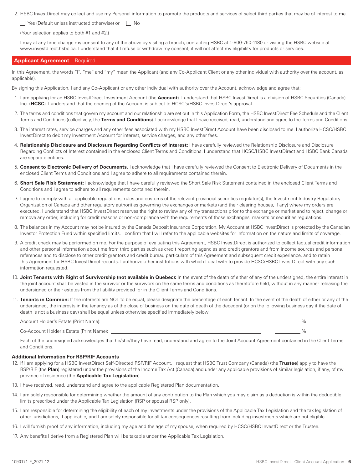2. HSBC InvestDirect may collect and use my Personal information to promote the products and services of select third parties that may be of interest to me.

 $\Box$  Yes (Default unless instructed otherwise) or  $\Box$  No

(Your selection applies to both #1 and #2.)

I may at any time change my consent to any of the above by visiting a branch, contacting HSBC at 1-800-760-1180 or visiting the HSBC website at www.investdirect.hsbc.ca. I understand that if I refuse or withdraw my consent, it will not affect my eligibility for products or services.

# **Applicant Agreement** – Required

In this Agreement, the words "I", "me" and "my" mean the Applicant (and any Co-Applicant Client or any other individual with authority over the account, as applicable).

By signing this Application, I and any Co-Applicant or any other individual with authority over the Account, acknowledge and agree that:

- 1. I am applying for an HSBC InvestDirect Investment Account (the **Account**). I understand that HSBC InvestDirect is a division of HSBC Securities (Canada) Inc. (**HCSC**). I understand that the opening of the Account is subject to HCSC's/HSBC InvestDirect's approval.
- 2. The terms and conditions that govern my account and our relationship are set out in this Application Form, the HSBC InvestDirect Fee Schedule and the Client Terms and Conditions (collectively, the **Terms and Conditions**). I acknowledge that I have received, read, understand and agree to the Terms and Conditions.
- 3. The interest rates, service charges and any other fees associated with my HSBC InvestDirect Account have been disclosed to me. I authorize HCSC/HSBC InvestDirect to debit my Investment Account for interest, service charges, and any other fees.
- 4. **Relationship Disclosure and Disclosure Regarding Conflicts of Interest:** I have carefully reviewed the Relationship Disclosure and Disclosure Regarding Conflicts of Interest contained in the enclosed Client Terms and Conditions. I understand that HCSC/HSBC InvestDirect and HSBC Bank Canada are separate entities.
- 5. **Consent to Electronic Delivery of Documents.** I acknowledge that I have carefully reviewed the Consent to Electronic Delivery of Documents in the enclosed Client Terms and Conditions and I agree to adhere to all requirements contained therein.
- 6. **Short Sale Risk Statement:** I acknowledge that I have carefully reviewed the Short Sale Risk Statement contained in the enclosed Client Terms and Conditions and I agree to adhere to all requirements contained therein.
- 7. I agree to comply with all applicable regulations, rules and customs of the relevant provincial securities regulator(s), the Investment Industry Regulatory Organization of Canada and other regulatory authorities governing the exchanges or markets (and their clearing houses, if any) where my orders are executed. I understand that HSBC InvestDirect reserves the right to review any of my transactions prior to the exchange or market and to reject, change or remove any order, including for credit reasons or non-compliance with the requirements of those exchanges, markets or securities regulations.
- 8. The balances in my Account may not be insured by the Canada Deposit Insurance Corporation. My Account at HSBC InvestDirect is protected by the Canadian Investor Protection Fund within specified limits. I confirm that I will refer to the applicable websites for information on the nature and limits of coverage.
- 9. A credit check may be performed on me. For the purpose of evaluating this Agreement, HSBC InvestDirect is authorized to collect factual credit information and other personal information about me from third parties such as credit reporting agencies and credit grantors and from income sources and personal references and to disclose to other credit grantors and credit bureau particulars of this Agreement and subsequent credit experience, and to retain this Agreement for HSBC InvestDirect records. I authorize other institutions with which I deal with to provide HCSC/HSBC InvestDirect with any such information requested.
- 10. **Joint Tenants with Right of Survivorship (not available in Quebec):** In the event of the death of either of any of the undersigned, the entire interest in the joint account shall be vested in the survivor or the survivors on the same terms and conditions as theretofore held, without in any manner releasing the undersigned or their estates from the liability provided for in the Client Terms and Conditions.
- 11. Tenants in Common: If the interests are NOT to be equal, please designate the percentage of each tenant. In the event of the death of either or any of the undersigned, the interests in the tenancy as of the close of business on the date of death of the decedent (or on the following business day if the date of death is not a business day) shall be equal unless otherwise specified immediately below.

Account Holder's Estate (Print Name):  $\frac{9}{6}$ 

Co-Account Holder's Estate (Print Name): 2008 2009 12:00 12:00 12:00 12:00 12:00 12:00 12:00 12:00 12:00 12:00 12:00 12:00 12:00 12:00 12:00 12:00 12:00 12:00 12:00 12:00 12:00 12:00 12:00 12:00 12:00 12:00 12:00 12:00 12:

Each of the undersigned acknowledges that he/she/they have read, understand and agree to the Joint Account Agreement contained in the Client Terms and Conditions.

# **Additional Information For RSP/RIF Accounts**

- 12. If I am applying for a HSBC InvestDirect Self-Directed RSP/RIF Account, I request that HSBC Trust Company (Canada) (the **Trustee**) apply to have the RSP/RIF (the Plan) registered under the provisions of the Income Tax Act (Canada) and under any applicable provisions of similar legislation, if any, of my province of residence (the **Applicable Tax Legislation**).
- 13. I have received, read, understand and agree to the applicable Registered Plan documentation.
- 14. I am solely responsible for determining whether the amount of any contribution to the Plan which you may claim as a deduction is within the deductible limits prescribed under the Applicable Tax Legislation (RSP or spousal RSP only).
- 15. I am responsible for determining the eligibility of each of my investments under the provisions of the Applicable Tax Legislation and the tax legislation of other jurisdictions, if applicable, and I am solely responsible for all tax consequences resulting from including investments which are not eligible.
- 16. I will furnish proof of any information, including my age and the age of my spouse, when required by HCSC/HSBC InvestDirect or the Trustee.
- 17. Any benefits I derive from a Registered Plan will be taxable under the Applicable Tax Legislation.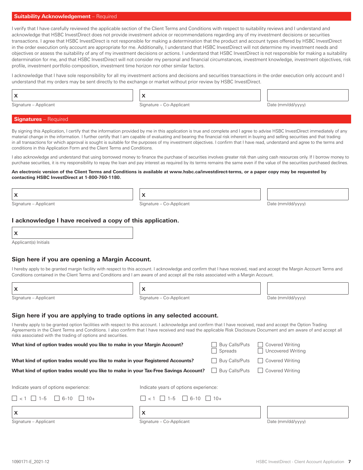# **Suitability Acknowledgement** – Required

I verify that I have carefully reviewed the applicable section of the Client Terms and Conditions with respect to suitability reviews and I understand and acknowledge that HSBC InvestDirect does not provide investment advice or recommendations regarding any of my investment decisions or securities transactions. I agree that HSBC InvestDirect is not responsible for making a determination that the product and account types offered by HSBC InvestDirect in the order execution only account are appropriate for me. Additionally, I understand that HSBC InvestDirect will not determine my investment needs and objectives or assess the suitability of any of my investment decisions or actions. I understand that HSBC InvestDirect is not responsible for making a suitability determination for me, and that HSBC InvestDirect will not consider my personal and financial circumstances, investment knowledge, investment objectives, risk profile, investment portfolio composition, investment time horizon nor other similar factors.

I acknowledge that I have sole responsibility for all my investment actions and decisions and securities transactions in the order execution only account and I understand that my orders may be sent directly to the exchange or market without prior review by HSBC InvestDirect.

Signature – Applicant and Signature – Co-Applicant Complete and Date (mm/dd/yyyy)

# **Signatures** – Required

By signing this Application, I certify that the information provided by me in this application is true and complete and I agree to advise HSBC InvestDirect immediately of any material change in the information. I further certify that I am capable of evaluating and bearing the financial risk inherent in buying and selling securities and that trading in all transactions for which approval is sought is suitable for the purposes of my investment objectives. I confirm that I have read, understand and agree to the terms and conditions in this Application Form and the Client Terms and Conditions.

I also acknowledge and understand that using borrowed money to finance the purchase of securities involves greater risk than using cash resources only. If I borrow money to purchase securities, it is my responsibility to repay the loan and pay interest as required by its terms remains the same even if the value of the securities purchased declines.

#### **An electronic version of the Client Terms and Conditions is available at www.hsbc.ca/investdirect-terms, or a paper copy may be requested by contacting HSBC InvestDirect at 1-800-760-1180.**

| $\boldsymbol{\mathsf{x}}$ | $\vert \vert x$ |  |
|---------------------------|-----------------|--|
|                           |                 |  |

Signature – Applicant and Signature – Co-Applicant Computer and Date (mm/dd/yyyy)

# **I acknowledge I have received a copy of this application.**

|   | I<br>I |
|---|--------|
|   | I      |
| I |        |

Applicant(s) Initials

# **Sign here if you are opening a Margin Account.**

I hereby apply to be granted margin facility with respect to this account. I acknowledge and confirm that I have received, read and accept the Margin Account Terms and Conditions contained in the Client Terms and Conditions and I am aware of and accept all the risks associated with a Margin Account.

| X |  | $\vert \vert x$ |
|---|--|-----------------|
|---|--|-----------------|

Signature – Applicant and Signature – Co-Applicant Communications of the Co-Applicant Date (mm/dd/yyyy)

| ato Immlddhanul |
|-----------------|

# **Sign here if you are applying to trade options in any selected account.**

I hereby apply to be granted option facilities with respect to this account. I acknowledge and confirm that I have received, read and accept the Option Trading Agreements in the Client Terms and Conditions. I also confirm that I have received and read the applicable Risk Disclosure Document and am aware of and accept all risks associated with the trading of options and securities.

| What kind of option trades would you like to make in your Margin Account?           |                                                                                                               | <b>Buy Calls/Puts</b><br>Spreads | Covered Writing<br>Uncovered Writing |
|-------------------------------------------------------------------------------------|---------------------------------------------------------------------------------------------------------------|----------------------------------|--------------------------------------|
| What kind of option trades would you like to make in your Registered Accounts?      |                                                                                                               | Buy Calls/Puts                   | Covered Writing<br>$\blacksquare$    |
| What kind of option trades would you like to make in your Tax-Free Savings Account? |                                                                                                               | Buy Calls/Puts                   | Covered Writing<br>$\blacksquare$    |
| Indicate years of options experience:<br>$\Box$ < 1 $\Box$ 1-5<br>$16 - 10$ $10 +$  | Indicate years of options experience:<br>$  \cdot  $ $\lt 1$ $  \cdot  $ 1-5 $  \cdot  $ 6-10 $  \cdot  $ 10+ |                                  |                                      |
| X                                                                                   | X                                                                                                             |                                  |                                      |
| Signature - Applicant                                                               | Signature - Co-Applicant                                                                                      |                                  | Date (mm/dd/yyyy)                    |